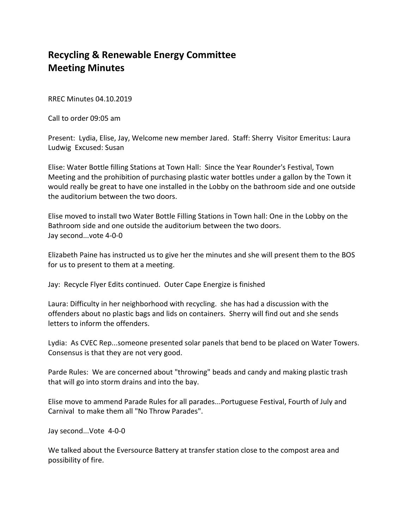## **Recycling & Renewable Energy Committee Meeting Minutes**

RREC Minutes 04.10.2019

Call to order 09:05 am

Present: Lydia, Elise, Jay, Welcome new member Jared. Staff: Sherry Visitor Emeritus: Laura Ludwig Excused: Susan

Elise: Water Bottle filling Stations at Town Hall: Since the Year Rounder's Festival, Town Meeting and the prohibition of purchasing plastic water bottles under a gallon by the Town it would really be great to have one installed in the Lobby on the bathroom side and one outside the auditorium between the two doors.

Elise moved to install two Water Bottle Filling Stations in Town hall: One in the Lobby on the Bathroom side and one outside the auditorium between the two doors. Jay second...vote 4‐0‐0

Elizabeth Paine has instructed us to give her the minutes and she will present them to the BOS for us to present to them at a meeting.

Jay: Recycle Flyer Edits continued. Outer Cape Energize is finished

Laura: Difficulty in her neighborhood with recycling. she has had a discussion with the offenders about no plastic bags and lids on containers. Sherry will find out and she sends letters to inform the offenders.

Lydia: As CVEC Rep...someone presented solar panels that bend to be placed on Water Towers. Consensus is that they are not very good.

Parde Rules: We are concerned about "throwing" beads and candy and making plastic trash that will go into storm drains and into the bay.

Elise move to ammend Parade Rules for all parades...Portuguese Festival, Fourth of July and Carnival to make them all "No Throw Parades".

Jay second...Vote 4‐0‐0

We talked about the Eversource Battery at transfer station close to the compost area and possibility of fire.